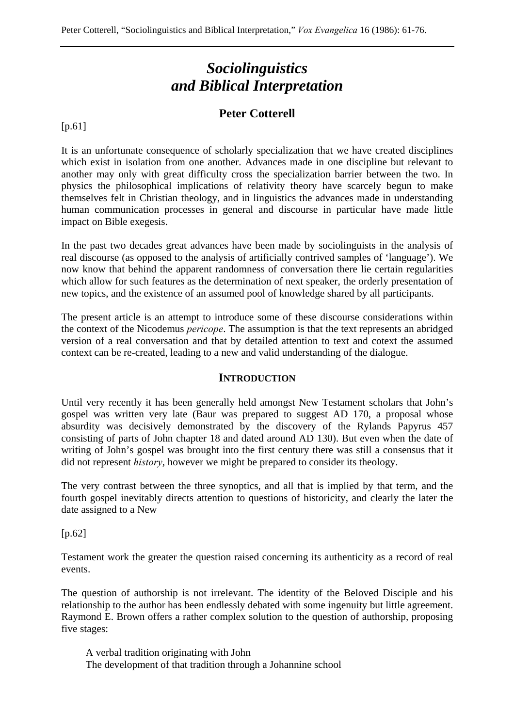# *Sociolinguistics and Biblical Interpretation*

# **Peter Cotterell**

[p.61]

It is an unfortunate consequence of scholarly specialization that we have created disciplines which exist in isolation from one another. Advances made in one discipline but relevant to another may only with great difficulty cross the specialization barrier between the two. In physics the philosophical implications of relativity theory have scarcely begun to make themselves felt in Christian theology, and in linguistics the advances made in understanding human communication processes in general and discourse in particular have made little impact on Bible exegesis.

In the past two decades great advances have been made by sociolinguists in the analysis of real discourse (as opposed to the analysis of artificially contrived samples of 'language'). We now know that behind the apparent randomness of conversation there lie certain regularities which allow for such features as the determination of next speaker, the orderly presentation of new topics, and the existence of an assumed pool of knowledge shared by all participants.

The present article is an attempt to introduce some of these discourse considerations within the context of the Nicodemus *pericope*. The assumption is that the text represents an abridged version of a real conversation and that by detailed attention to text and cotext the assumed context can be re-created, leading to a new and valid understanding of the dialogue.

#### **INTRODUCTION**

Until very recently it has been generally held amongst New Testament scholars that John's gospel was written very late (Baur was prepared to suggest AD 170, a proposal whose absurdity was decisively demonstrated by the discovery of the Rylands Papyrus 457 consisting of parts of John chapter 18 and dated around AD 130). But even when the date of writing of John's gospel was brought into the first century there was still a consensus that it did not represent *history*, however we might be prepared to consider its theology.

The very contrast between the three synoptics, and all that is implied by that term, and the fourth gospel inevitably directs attention to questions of historicity, and clearly the later the date assigned to a New

[p.62]

Testament work the greater the question raised concerning its authenticity as a record of real events.

The question of authorship is not irrelevant. The identity of the Beloved Disciple and his relationship to the author has been endlessly debated with some ingenuity but little agreement. Raymond E. Brown offers a rather complex solution to the question of authorship, proposing five stages:

A verbal tradition originating with John The development of that tradition through a Johannine school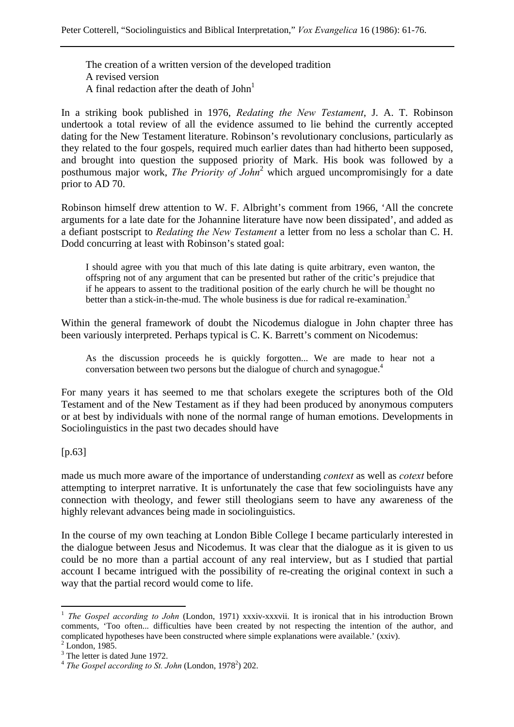The creation of a written version of the developed tradition A revised version A final redaction after the death of  $John<sup>1</sup>$ 

In a striking book published in 1976, *Redating the New Testament*, J. A. T. Robinson undertook a total review of all the evidence assumed to lie behind the currently accepted dating for the New Testament literature. Robinson's revolutionary conclusions, particularly as they related to the four gospels, required much earlier dates than had hitherto been supposed, and brought into question the supposed priority of Mark. His book was followed by a posthumous major work, *The Priority of John*<sup>2</sup> which argued uncompromisingly for a date prior to AD 70.

Robinson himself drew attention to W. F. Albright's comment from 1966, 'All the concrete arguments for a late date for the Johannine literature have now been dissipated', and added as a defiant postscript to *Redating the New Testament* a letter from no less a scholar than C. H. Dodd concurring at least with Robinson's stated goal:

I should agree with you that much of this late dating is quite arbitrary, even wanton, the offspring not of any argument that can be presented but rather of the critic's prejudice that if he appears to assent to the traditional position of the early church he will be thought no better than a stick-in-the-mud. The whole business is due for radical re-examination.<sup>3</sup>

Within the general framework of doubt the Nicodemus dialogue in John chapter three has been variously interpreted. Perhaps typical is C. K. Barrett's comment on Nicodemus:

As the discussion proceeds he is quickly forgotten... We are made to hear not a conversation between two persons but the dialogue of church and synagogue.4

For many years it has seemed to me that scholars exegete the scriptures both of the Old Testament and of the New Testament as if they had been produced by anonymous computers or at best by individuals with none of the normal range of human emotions. Developments in Sociolinguistics in the past two decades should have

[p.63]

made us much more aware of the importance of understanding *context* as well as *cotext* before attempting to interpret narrative. It is unfortunately the case that few sociolinguists have any connection with theology, and fewer still theologians seem to have any awareness of the highly relevant advances being made in sociolinguistics.

In the course of my own teaching at London Bible College I became particularly interested in the dialogue between Jesus and Nicodemus. It was clear that the dialogue as it is given to us could be no more than a partial account of any real interview, but as I studied that partial account I became intrigued with the possibility of re-creating the original context in such a way that the partial record would come to life.

<sup>&</sup>lt;sup>1</sup> *The Gospel according to John* (London, 1971) xxxiv-xxxvii. It is ironical that in his introduction Brown comments, 'Too often... difficulties have been created by not respecting the intention of the author, and complicated hypotheses have been constructed where simple explanations were available.' (xxiv).

 $2$  London, 1985.

<sup>&</sup>lt;sup>3</sup> The letter is dated June 1972.

 $4$  The Gospel according to St. John (London, 1978<sup>2</sup>) 202.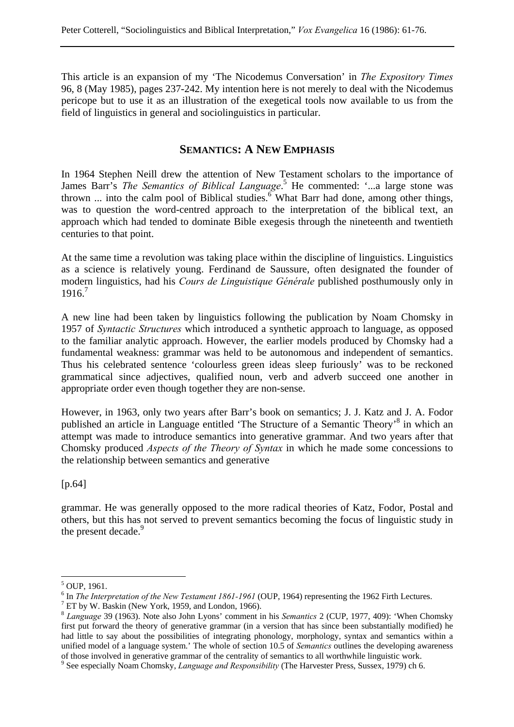This article is an expansion of my 'The Nicodemus Conversation' in *The Expository Times* 96, 8 (May 1985), pages 237-242. My intention here is not merely to deal with the Nicodemus pericope but to use it as an illustration of the exegetical tools now available to us from the field of linguistics in general and sociolinguistics in particular.

### **SEMANTICS: A NEW EMPHASIS**

In 1964 Stephen Neill drew the attention of New Testament scholars to the importance of James Barr's *The Semantics of Biblical Language*.<sup>5</sup> He commented: '...a large stone was thrown ... into the calm pool of Biblical studies.<sup>6</sup> What Barr had done, among other things, was to question the word-centred approach to the interpretation of the biblical text, an approach which had tended to dominate Bible exegesis through the nineteenth and twentieth centuries to that point.

At the same time a revolution was taking place within the discipline of linguistics. Linguistics as a science is relatively young. Ferdinand de Saussure, often designated the founder of modern linguistics, had his *Cours de Linguistique Générale* published posthumously only in 1916.7

A new line had been taken by linguistics following the publication by Noam Chomsky in 1957 of *Syntactic Structures* which introduced a synthetic approach to language, as opposed to the familiar analytic approach. However, the earlier models produced by Chomsky had a fundamental weakness: grammar was held to be autonomous and independent of semantics. Thus his celebrated sentence 'colourless green ideas sleep furiously' was to be reckoned grammatical since adjectives, qualified noun, verb and adverb succeed one another in appropriate order even though together they are non-sense.

However, in 1963, only two years after Barr's book on semantics; J. J. Katz and J. A. Fodor published an article in Language entitled 'The Structure of a Semantic Theory'<sup>8</sup> in which an attempt was made to introduce semantics into generative grammar. And two years after that Chomsky produced *Aspects of the Theory of Syntax* in which he made some concessions to the relationship between semantics and generative

[p.64]

grammar. He was generally opposed to the more radical theories of Katz, Fodor, Postal and others, but this has not served to prevent semantics becoming the focus of linguistic study in the present decade.<sup>9</sup>

<sup>&</sup>lt;sup>5</sup> OUP, 1961.

<sup>&</sup>lt;sup>6</sup> In *The Interpretation of the New Testament 1861-1961* (OUP, 1964) representing the 1962 Firth Lectures.

 $7$  ET by W. Baskin (New York, 1959, and London, 1966).

<sup>8</sup> *Language* 39 (1963). Note also John Lyons' comment in his *Semantics* 2 (CUP, 1977, 409): 'When Chomsky first put forward the theory of generative grammar (in a version that has since been substantially modified) he had little to say about the possibilities of integrating phonology, morphology, syntax and semantics within a unified model of a language system.' The whole of section 10.5 of *Semantics* outlines the developing awareness of those involved in generative grammar of the centrality of semantics to all worthwhile linguistic work.

<sup>9</sup> See especially Noam Chomsky, *Language and Responsibility* (The Harvester Press, Sussex, 1979) ch 6.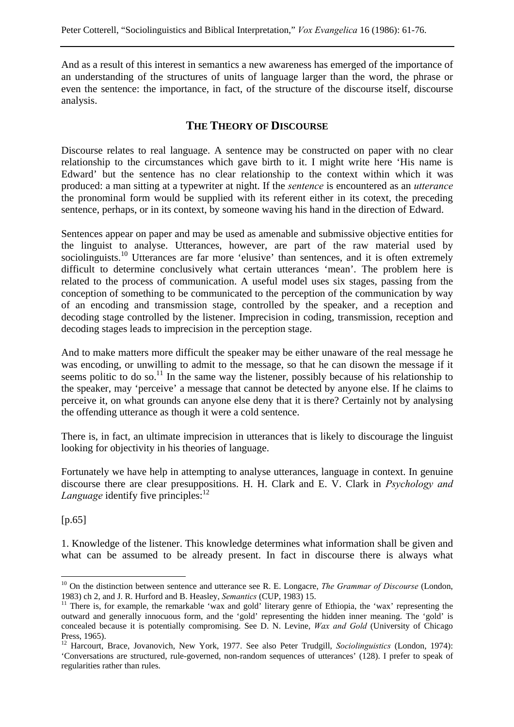And as a result of this interest in semantics a new awareness has emerged of the importance of an understanding of the structures of units of language larger than the word, the phrase or even the sentence: the importance, in fact, of the structure of the discourse itself, discourse analysis.

## **THE THEORY OF DISCOURSE**

Discourse relates to real language. A sentence may be constructed on paper with no clear relationship to the circumstances which gave birth to it. I might write here 'His name is Edward' but the sentence has no clear relationship to the context within which it was produced: a man sitting at a typewriter at night. If the *sentence* is encountered as an *utterance* the pronominal form would be supplied with its referent either in its cotext, the preceding sentence, perhaps, or in its context, by someone waving his hand in the direction of Edward.

Sentences appear on paper and may be used as amenable and submissive objective entities for the linguist to analyse. Utterances, however, are part of the raw material used by sociolinguists.<sup>10</sup> Utterances are far more 'elusive' than sentences, and it is often extremely difficult to determine conclusively what certain utterances 'mean'. The problem here is related to the process of communication. A useful model uses six stages, passing from the conception of something to be communicated to the perception of the communication by way of an encoding and transmission stage, controlled by the speaker, and a reception and decoding stage controlled by the listener. Imprecision in coding, transmission, reception and decoding stages leads to imprecision in the perception stage.

And to make matters more difficult the speaker may be either unaware of the real message he was encoding, or unwilling to admit to the message, so that he can disown the message if it seems politic to do so.<sup>11</sup> In the same way the listener, possibly because of his relationship to the speaker, may 'perceive' a message that cannot be detected by anyone else. If he claims to perceive it, on what grounds can anyone else deny that it is there? Certainly not by analysing the offending utterance as though it were a cold sentence.

There is, in fact, an ultimate imprecision in utterances that is likely to discourage the linguist looking for objectivity in his theories of language.

Fortunately we have help in attempting to analyse utterances, language in context. In genuine discourse there are clear presuppositions. H. H. Clark and E. V. Clark in *Psychology and Language* identify five principles: $12$ 

[p.65]

 $\overline{a}$ 

1. Knowledge of the listener. This knowledge determines what information shall be given and what can be assumed to be already present. In fact in discourse there is always what

<sup>&</sup>lt;sup>10</sup> On the distinction between sentence and utterance see R. E. Longacre, *The Grammar of Discourse* (London,

<sup>1983)</sup> ch 2, and J. R. Hurford and B. Heasley, *Semantics* (CUP, 1983) 15.<br><sup>11</sup> There is, for example, the remarkable 'wax and gold' literary genre of Ethiopia, the 'wax' representing the outward and generally innocuous form, and the 'gold' representing the hidden inner meaning. The 'gold' is concealed because it is potentially compromising. See D. N. Levine, *Wax and Gold* (University of Chicago Press, 1965).

<sup>&</sup>lt;sup>12</sup> Harcourt, Brace, Jovanovich, New York, 1977. See also Peter Trudgill, *Sociolinguistics* (London, 1974): 'Conversations are structured, rule-governed, non-random sequences of utterances' (128). I prefer to speak of regularities rather than rules.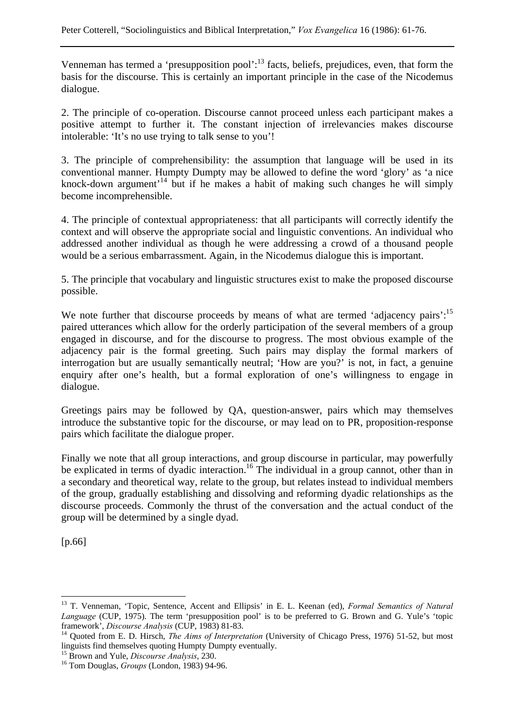Venneman has termed a 'presupposition pool':<sup>13</sup> facts, beliefs, prejudices, even, that form the basis for the discourse. This is certainly an important principle in the case of the Nicodemus dialogue.

2. The principle of co-operation. Discourse cannot proceed unless each participant makes a positive attempt to further it. The constant injection of irrelevancies makes discourse intolerable: 'It's no use trying to talk sense to you'!

3. The principle of comprehensibility: the assumption that language will be used in its conventional manner. Humpty Dumpty may be allowed to define the word 'glory' as 'a nice knock-down argument<sup> $14$ </sup> but if he makes a habit of making such changes he will simply become incomprehensible.

4. The principle of contextual appropriateness: that all participants will correctly identify the context and will observe the appropriate social and linguistic conventions. An individual who addressed another individual as though he were addressing a crowd of a thousand people would be a serious embarrassment. Again, in the Nicodemus dialogue this is important.

5. The principle that vocabulary and linguistic structures exist to make the proposed discourse possible.

We note further that discourse proceeds by means of what are termed 'adjacency pairs':<sup>15</sup> paired utterances which allow for the orderly participation of the several members of a group engaged in discourse, and for the discourse to progress. The most obvious example of the adjacency pair is the formal greeting. Such pairs may display the formal markers of interrogation but are usually semantically neutral; 'How are you?' is not, in fact, a genuine enquiry after one's health, but a formal exploration of one's willingness to engage in dialogue.

Greetings pairs may be followed by QA, question-answer, pairs which may themselves introduce the substantive topic for the discourse, or may lead on to PR, proposition-response pairs which facilitate the dialogue proper.

Finally we note that all group interactions, and group discourse in particular, may powerfully be explicated in terms of dyadic interaction.<sup>16</sup> The individual in a group cannot, other than in a secondary and theoretical way, relate to the group, but relates instead to individual members of the group, gradually establishing and dissolving and reforming dyadic relationships as the discourse proceeds. Commonly the thrust of the conversation and the actual conduct of the group will be determined by a single dyad.

[p.66]

<sup>13</sup> T. Venneman, 'Topic, Sentence, Accent and Ellipsis' in E. L. Keenan (ed), *Formal Semantics of Natural Language* (CUP, 1975). The term 'presupposition pool' is to be preferred to G. Brown and G. Yule's 'topic framework', *Discourse Analysis* (CUP, 1983) 81-83.<br><sup>14</sup> Quoted from E. D. Hirsch, *The Aims of Interpretation* (University of Chicago Press, 1976) 51-52, but most

linguists find themselves quoting Humpty Dumpty eventually.

<sup>&</sup>lt;sup>15</sup> Brown and Yule, *Discourse Analysis*, 230.<br><sup>16</sup> Tom Douglas, *Groups* (London, 1983) 94-96.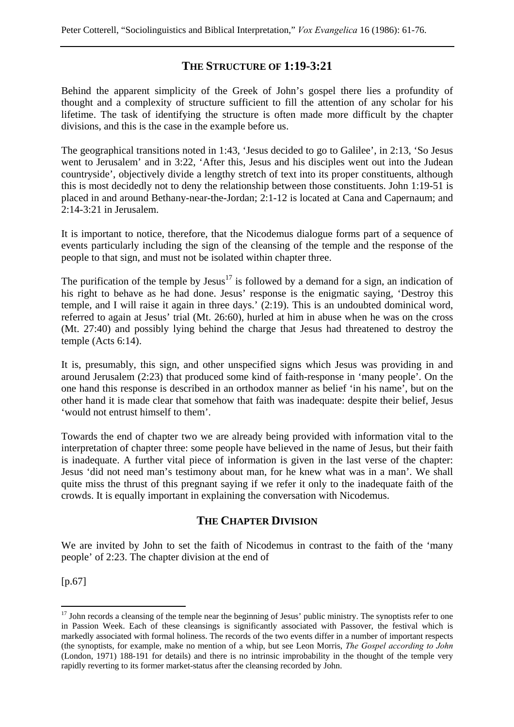## **THE STRUCTURE OF 1:19-3:21**

Behind the apparent simplicity of the Greek of John's gospel there lies a profundity of thought and a complexity of structure sufficient to fill the attention of any scholar for his lifetime. The task of identifying the structure is often made more difficult by the chapter divisions, and this is the case in the example before us.

The geographical transitions noted in 1:43, 'Jesus decided to go to Galilee', in 2:13, 'So Jesus went to Jerusalem' and in 3:22, 'After this, Jesus and his disciples went out into the Judean countryside', objectively divide a lengthy stretch of text into its proper constituents, although this is most decidedly not to deny the relationship between those constituents. John 1:19-51 is placed in and around Bethany-near-the-Jordan; 2:1-12 is located at Cana and Capernaum; and 2:14-3:21 in Jerusalem.

It is important to notice, therefore, that the Nicodemus dialogue forms part of a sequence of events particularly including the sign of the cleansing of the temple and the response of the people to that sign, and must not be isolated within chapter three.

The purification of the temple by  $Jesus^{17}$  is followed by a demand for a sign, an indication of his right to behave as he had done. Jesus' response is the enigmatic saying, 'Destroy this temple, and I will raise it again in three days.' (2:19). This is an undoubted dominical word, referred to again at Jesus' trial (Mt. 26:60), hurled at him in abuse when he was on the cross (Mt. 27:40) and possibly lying behind the charge that Jesus had threatened to destroy the temple (Acts 6:14).

It is, presumably, this sign, and other unspecified signs which Jesus was providing in and around Jerusalem (2:23) that produced some kind of faith-response in 'many people'. On the one hand this response is described in an orthodox manner as belief 'in his name', but on the other hand it is made clear that somehow that faith was inadequate: despite their belief, Jesus 'would not entrust himself to them'.

Towards the end of chapter two we are already being provided with information vital to the interpretation of chapter three: some people have believed in the name of Jesus, but their faith is inadequate. A further vital piece of information is given in the last verse of the chapter: Jesus 'did not need man's testimony about man, for he knew what was in a man'. We shall quite miss the thrust of this pregnant saying if we refer it only to the inadequate faith of the crowds. It is equally important in explaining the conversation with Nicodemus.

## **THE CHAPTER DIVISION**

We are invited by John to set the faith of Nicodemus in contrast to the faith of the 'many people' of 2:23. The chapter division at the end of

[p.67]

 $17$  John records a cleansing of the temple near the beginning of Jesus' public ministry. The synoptists refer to one in Passion Week. Each of these cleansings is significantly associated with Passover, the festival which is markedly associated with formal holiness. The records of the two events differ in a number of important respects (the synoptists, for example, make no mention of a whip, but see Leon Morris, *The Gospel according to John* (London, 1971) 188-191 for details) and there is no intrinsic improbability in the thought of the temple very rapidly reverting to its former market-status after the cleansing recorded by John.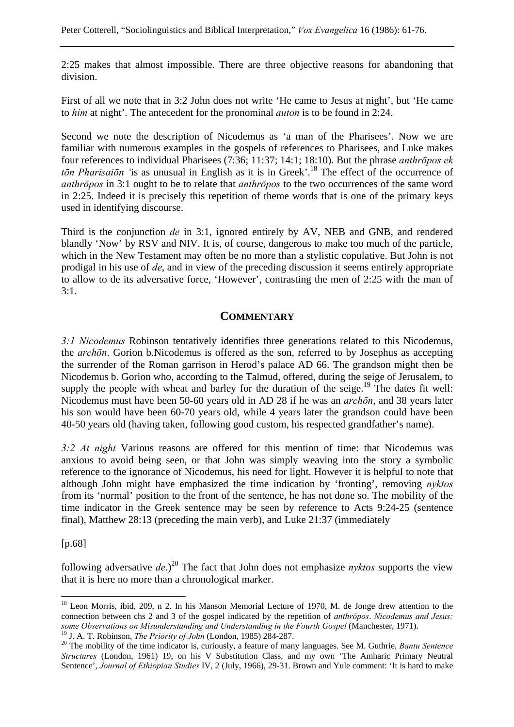2:25 makes that almost impossible. There are three objective reasons for abandoning that division.

First of all we note that in 3:2 John does not write 'He came to Jesus at night', but 'He came to *him* at night'. The antecedent for the pronominal *auton* is to be found in 2:24.

Second we note the description of Nicodemus as 'a man of the Pharisees'. Now we are familiar with numerous examples in the gospels of references to Pharisees, and Luke makes four references to individual Pharisees (7:36; 11:37; 14:1; 18:10). But the phrase *anthrōpos ek tōn Pharisaiōn '*is as unusual in English as it is in Greek'.18 The effect of the occurrence of *anthrōpos* in 3:1 ought to be to relate that *anthrōpos* to the two occurrences of the same word in 2:25. Indeed it is precisely this repetition of theme words that is one of the primary keys used in identifying discourse.

Third is the conjunction *de* in 3:1, ignored entirely by AV, NEB and GNB, and rendered blandly 'Now' by RSV and NIV. It is, of course, dangerous to make too much of the particle, which in the New Testament may often be no more than a stylistic copulative. But John is not prodigal in his use of *de*, and in view of the preceding discussion it seems entirely appropriate to allow to de its adversative force, 'However', contrasting the men of 2:25 with the man of 3:1.

### **COMMENTARY**

*3:1 Nicodemus* Robinson tentatively identifies three generations related to this Nicodemus, the *archōn*. Gorion b.Nicodemus is offered as the son, referred to by Josephus as accepting the surrender of the Roman garrison in Herod's palace AD 66. The grandson might then be Nicodemus b. Gorion who, according to the Talmud, offered, during the seige of Jerusalem, to supply the people with wheat and barley for the duration of the seige.<sup>19</sup> The dates fit well: Nicodemus must have been 50-60 years old in AD 28 if he was an *archōn*, and 38 years later his son would have been 60-70 years old, while 4 years later the grandson could have been 40-50 years old (having taken, following good custom, his respected grandfather's name).

*3:2 At night* Various reasons are offered for this mention of time: that Nicodemus was anxious to avoid being seen, or that John was simply weaving into the story a symbolic reference to the ignorance of Nicodemus, his need for light. However it is helpful to note that although John might have emphasized the time indication by 'fronting', removing *nyktos* from its 'normal' position to the front of the sentence, he has not done so. The mobility of the time indicator in the Greek sentence may be seen by reference to Acts 9:24-25 (sentence final), Matthew 28:13 (preceding the main verb), and Luke 21:37 (immediately

[p.68]

 $\overline{a}$ 

following adversative  $de^2$ .)<sup>20</sup> The fact that John does not emphasize *nyktos* supports the view that it is here no more than a chronological marker.

<sup>&</sup>lt;sup>18</sup> Leon Morris, ibid, 209, n 2. In his Manson Memorial Lecture of 1970, M. de Jonge drew attention to the connection between chs 2 and 3 of the gospel indicated by the repetition of *anthrōpos*. *Nicodemus and Jesus: some Observations on Misunderstanding and Understanding in the Fourth Gospel* (Manchester, 1971).

<sup>&</sup>lt;sup>19</sup> J. A. T. Robinson, *The Priority of John* (London, 1985) 284-287.<br><sup>20</sup> The mobility of the time indicator is, curiously, a feature of many languages. See M. Guthrie, *Bantu Sentence Structures* (London, 1961) 19, on his V Substitution Class, and my own 'The Amharic Primary Neutral Sentence', *Journal of Ethiopian Studies* IV, 2 (July, 1966), 29-31. Brown and Yule comment: 'It is hard to make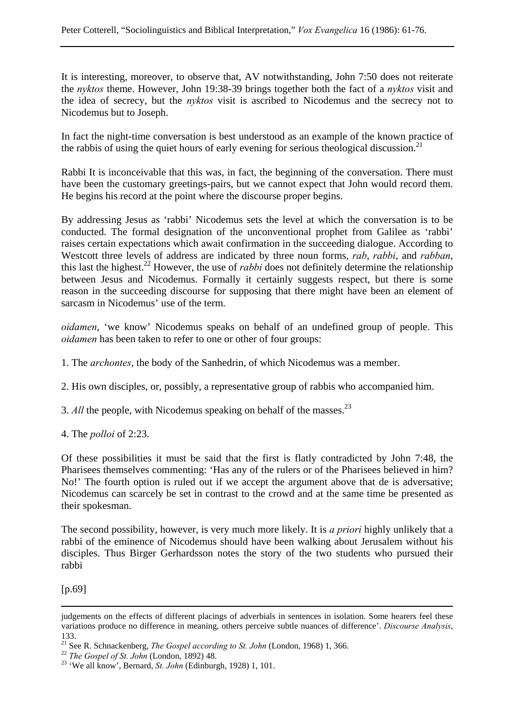It is interesting, moreover, to observe that, AV notwithstanding, John 7:50 does not reiterate the *nyktos* theme. However, John 19:38-39 brings together both the fact of a *nyktos* visit and the idea of secrecy, but the *nyktos* visit is ascribed to Nicodemus and the secrecy not to Nicodemus but to Joseph.

In fact the night-time conversation is best understood as an example of the known practice of the rabbis of using the quiet hours of early evening for serious theological discussion.<sup>21</sup>

Rabbi It is inconceivable that this was, in fact, the beginning of the conversation. There must have been the customary greetings-pairs, but we cannot expect that John would record them. He begins his record at the point where the discourse proper begins.

By addressing Jesus as 'rabbi' Nicodemus sets the level at which the conversation is to be conducted. The formal designation of the unconventional prophet from Galilee as 'rabbi' raises certain expectations which await confirmation in the succeeding dialogue. According to Westcott three levels of address are indicated by three noun forms, *rab*, *rabbi*, and *rabban*, this last the highest.22 However, the use of *rabbi* does not definitely determine the relationship between Jesus and Nicodemus. Formally it certainly suggests respect, but there is some reason in the succeeding discourse for supposing that there might have been an element of sarcasm in Nicodemus' use of the term.

*oidamen*, 'we know' Nicodemus speaks on behalf of an undefined group of people. This *oidamen* has been taken to refer to one or other of four groups:

1. The *archontes*, the body of the Sanhedrin, of which Nicodemus was a member.

2. His own disciples, or, possibly, a representative group of rabbis who accompanied him.

- 3. *All* the people, with Nicodemus speaking on behalf of the masses.<sup>23</sup>
- 4. The *polloi* of 2:23.

Of these possibilities it must be said that the first is flatly contradicted by John 7:48, the Pharisees themselves commenting: 'Has any of the rulers or of the Pharisees believed in him? No!' The fourth option is ruled out if we accept the argument above that de is adversative; Nicodemus can scarcely be set in contrast to the crowd and at the same time be presented as their spokesman.

The second possibility, however, is very much more likely. It is *a priori* highly unlikely that a rabbi of the eminence of Nicodemus should have been walking about Jerusalem without his disciples. Thus Birger Gerhardsson notes the story of the two students who pursued their rabbi

[p.69]

judgements on the effects of different placings of adverbials in sentences in isolation. Some hearers feel these variations produce no difference in meaning, others perceive subtle nuances of difference'. *Discourse Analysis*, 133.

<sup>&</sup>lt;sup>21</sup> See R. Schnackenberg, *The Gospel according to St. John* (London, 1968) 1, 366.<br><sup>22</sup> *The Gospel of St. John* (London, 1892) 48.<br><sup>23</sup> 'We all know', Bernard, *St. John* (Edinburgh, 1928) 1, 101.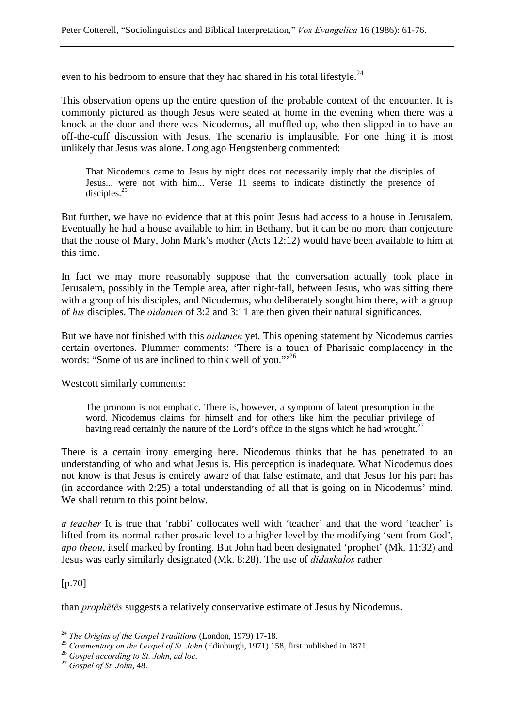even to his bedroom to ensure that they had shared in his total lifestyle.<sup>24</sup>

This observation opens up the entire question of the probable context of the encounter. It is commonly pictured as though Jesus were seated at home in the evening when there was a knock at the door and there was Nicodemus, all muffled up, who then slipped in to have an off-the-cuff discussion with Jesus. The scenario is implausible. For one thing it is most unlikely that Jesus was alone. Long ago Hengstenberg commented:

That Nicodemus came to Jesus by night does not necessarily imply that the disciples of Jesus... were not with him... Verse 11 seems to indicate distinctly the presence of disciples. $25$ 

But further, we have no evidence that at this point Jesus had access to a house in Jerusalem. Eventually he had a house available to him in Bethany, but it can be no more than conjecture that the house of Mary, John Mark's mother (Acts 12:12) would have been available to him at this time.

In fact we may more reasonably suppose that the conversation actually took place in Jerusalem, possibly in the Temple area, after night-fall, between Jesus, who was sitting there with a group of his disciples, and Nicodemus, who deliberately sought him there, with a group of *his* disciples. The *oidamen* of 3:2 and 3:11 are then given their natural significances.

But we have not finished with this *oidamen* yet. This opening statement by Nicodemus carries certain overtones. Plummer comments: 'There is a touch of Pharisaic complacency in the words: "Some of us are inclined to think well of you."'<sup>26</sup>

Westcott similarly comments:

The pronoun is not emphatic. There is, however, a symptom of latent presumption in the word. Nicodemus claims for himself and for others like him the peculiar privilege of having read certainly the nature of the Lord's office in the signs which he had wrought.<sup>27</sup>

There is a certain irony emerging here. Nicodemus thinks that he has penetrated to an understanding of who and what Jesus is. His perception is inadequate. What Nicodemus does not know is that Jesus is entirely aware of that false estimate, and that Jesus for his part has (in accordance with 2:25) a total understanding of all that is going on in Nicodemus' mind. We shall return to this point below.

*a teacher* It is true that 'rabbi' collocates well with 'teacher' and that the word 'teacher' is lifted from its normal rather prosaic level to a higher level by the modifying 'sent from God', *apo theou*, itself marked by fronting. But John had been designated 'prophet' (Mk. 11:32) and Jesus was early similarly designated (Mk. 8:28). The use of *didaskalos* rather

#### [p.70]

 $\overline{a}$ 

than *prophētēs* suggests a relatively conservative estimate of Jesus by Nicodemus.

<sup>&</sup>lt;sup>24</sup> The Origins of the Gospel Traditions (London, 1979) 17-18.<br><sup>25</sup> Commentary on the Gospel of St. John (Edinburgh, 1971) 158, first published in 1871.<br><sup>26</sup> Gospel according to St. John, ad loc.<br><sup>27</sup> Gospel of St. John,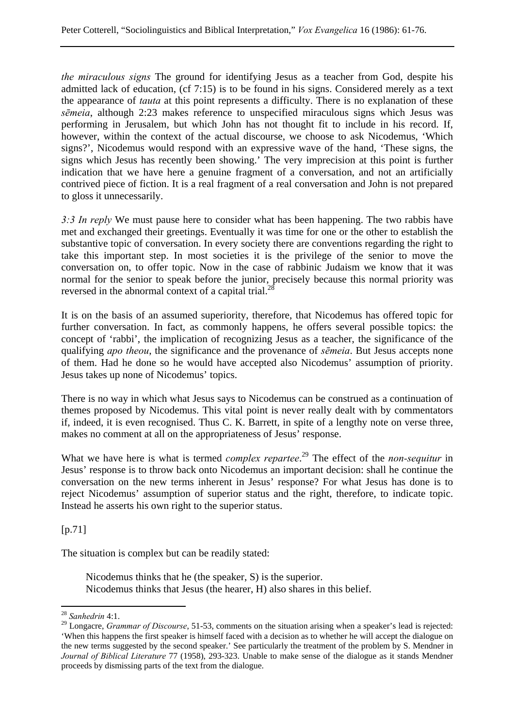*the miraculous signs* The ground for identifying Jesus as a teacher from God, despite his admitted lack of education, (cf 7:15) is to be found in his signs. Considered merely as a text the appearance of *tauta* at this point represents a difficulty. There is no explanation of these *sēmeia*, although 2:23 makes reference to unspecified miraculous signs which Jesus was performing in Jerusalem, but which John has not thought fit to include in his record. If, however, within the context of the actual discourse, we choose to ask Nicodemus, 'Which signs?', Nicodemus would respond with an expressive wave of the hand, 'These signs, the signs which Jesus has recently been showing.' The very imprecision at this point is further indication that we have here a genuine fragment of a conversation, and not an artificially contrived piece of fiction. It is a real fragment of a real conversation and John is not prepared to gloss it unnecessarily.

*3:3 In reply* We must pause here to consider what has been happening. The two rabbis have met and exchanged their greetings. Eventually it was time for one or the other to establish the substantive topic of conversation. In every society there are conventions regarding the right to take this important step. In most societies it is the privilege of the senior to move the conversation on, to offer topic. Now in the case of rabbinic Judaism we know that it was normal for the senior to speak before the junior, precisely because this normal priority was reversed in the abnormal context of a capital trial.<sup>21</sup>

It is on the basis of an assumed superiority, therefore, that Nicodemus has offered topic for further conversation. In fact, as commonly happens, he offers several possible topics: the concept of 'rabbi', the implication of recognizing Jesus as a teacher, the significance of the qualifying *apo theou*, the significance and the provenance of *sēmeia*. But Jesus accepts none of them. Had he done so he would have accepted also Nicodemus' assumption of priority. Jesus takes up none of Nicodemus' topics.

There is no way in which what Jesus says to Nicodemus can be construed as a continuation of themes proposed by Nicodemus. This vital point is never really dealt with by commentators if, indeed, it is even recognised. Thus C. K. Barrett, in spite of a lengthy note on verse three, makes no comment at all on the appropriateness of Jesus' response.

What we have here is what is termed *complex repartee*. 29 The effect of the *non-sequitur* in Jesus' response is to throw back onto Nicodemus an important decision: shall he continue the conversation on the new terms inherent in Jesus' response? For what Jesus has done is to reject Nicodemus' assumption of superior status and the right, therefore, to indicate topic. Instead he asserts his own right to the superior status.

 $[p.71]$ 

 $\overline{a}$ 

The situation is complex but can be readily stated:

Nicodemus thinks that he (the speaker, S) is the superior. Nicodemus thinks that Jesus (the hearer, H) also shares in this belief.

<sup>28</sup> *Sanhedrin* 4:1.

<sup>&</sup>lt;sup>29</sup> Longacre, *Grammar of Discourse*, 51-53, comments on the situation arising when a speaker's lead is rejected: 'When this happens the first speaker is himself faced with a decision as to whether he will accept the dialogue on the new terms suggested by the second speaker.' See particularly the treatment of the problem by S. Mendner in *Journal of Biblical Literature* 77 (1958), 293-323. Unable to make sense of the dialogue as it stands Mendner proceeds by dismissing parts of the text from the dialogue.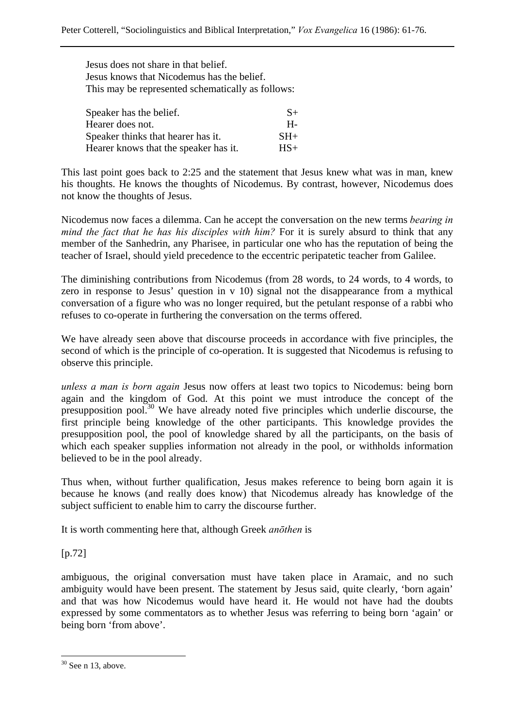Jesus does not share in that belief. Jesus knows that Nicodemus has the belief. This may be represented schematically as follows:

| Speaker has the belief.               | $S+$  |
|---------------------------------------|-------|
| Hearer does not.                      | H-    |
| Speaker thinks that hearer has it.    | $SH+$ |
| Hearer knows that the speaker has it. | $HS+$ |

This last point goes back to 2:25 and the statement that Jesus knew what was in man, knew his thoughts. He knows the thoughts of Nicodemus. By contrast, however, Nicodemus does not know the thoughts of Jesus.

Nicodemus now faces a dilemma. Can he accept the conversation on the new terms *bearing in mind the fact that he has his disciples with him?* For it is surely absurd to think that any member of the Sanhedrin, any Pharisee, in particular one who has the reputation of being the teacher of Israel, should yield precedence to the eccentric peripatetic teacher from Galilee.

The diminishing contributions from Nicodemus (from 28 words, to 24 words, to 4 words, to zero in response to Jesus' question in v 10) signal not the disappearance from a mythical conversation of a figure who was no longer required, but the petulant response of a rabbi who refuses to co-operate in furthering the conversation on the terms offered.

We have already seen above that discourse proceeds in accordance with five principles, the second of which is the principle of co-operation. It is suggested that Nicodemus is refusing to observe this principle.

*unless a man is born again* Jesus now offers at least two topics to Nicodemus: being born again and the kingdom of God. At this point we must introduce the concept of the presupposition pool.<sup>30</sup> We have already noted five principles which underlie discourse, the first principle being knowledge of the other participants. This knowledge provides the presupposition pool, the pool of knowledge shared by all the participants, on the basis of which each speaker supplies information not already in the pool, or withholds information believed to be in the pool already.

Thus when, without further qualification, Jesus makes reference to being born again it is because he knows (and really does know) that Nicodemus already has knowledge of the subject sufficient to enable him to carry the discourse further.

It is worth commenting here that, although Greek *anōthen* is

[p.72]

 $\overline{a}$ 

ambiguous, the original conversation must have taken place in Aramaic, and no such ambiguity would have been present. The statement by Jesus said, quite clearly, 'born again' and that was how Nicodemus would have heard it. He would not have had the doubts expressed by some commentators as to whether Jesus was referring to being born 'again' or being born 'from above'.

 $30$  See n 13, above.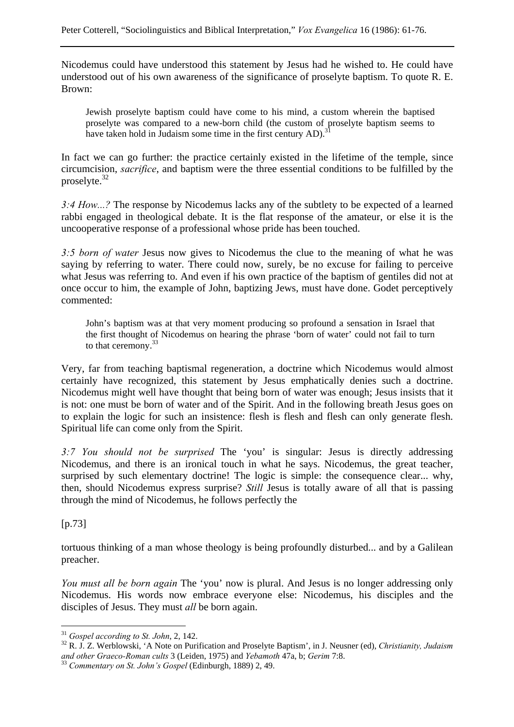Nicodemus could have understood this statement by Jesus had he wished to. He could have understood out of his own awareness of the significance of proselyte baptism. To quote R. E. Brown:

Jewish proselyte baptism could have come to his mind, a custom wherein the baptised proselyte was compared to a new-born child (the custom of proselyte baptism seems to have taken hold in Judaism some time in the first century  $AD$ .<sup>3</sup>

In fact we can go further: the practice certainly existed in the lifetime of the temple, since circumcision, *sacrifice*, and baptism were the three essential conditions to be fulfilled by the proselyte.32

*3:4 How...?* The response by Nicodemus lacks any of the subtlety to be expected of a learned rabbi engaged in theological debate. It is the flat response of the amateur, or else it is the uncooperative response of a professional whose pride has been touched.

*3:5 born of water* Jesus now gives to Nicodemus the clue to the meaning of what he was saying by referring to water. There could now, surely, be no excuse for failing to perceive what Jesus was referring to. And even if his own practice of the baptism of gentiles did not at once occur to him, the example of John, baptizing Jews, must have done. Godet perceptively commented:

John's baptism was at that very moment producing so profound a sensation in Israel that the first thought of Nicodemus on hearing the phrase 'born of water' could not fail to turn to that ceremony.<sup>33</sup>

Very, far from teaching baptismal regeneration, a doctrine which Nicodemus would almost certainly have recognized, this statement by Jesus emphatically denies such a doctrine. Nicodemus might well have thought that being born of water was enough; Jesus insists that it is not: one must be born of water and of the Spirit. And in the following breath Jesus goes on to explain the logic for such an insistence: flesh is flesh and flesh can only generate flesh. Spiritual life can come only from the Spirit.

*3:7 You should not be surprised* The 'you' is singular: Jesus is directly addressing Nicodemus, and there is an ironical touch in what he says. Nicodemus, the great teacher, surprised by such elementary doctrine! The logic is simple: the consequence clear... why, then, should Nicodemus express surprise? *Still* Jesus is totally aware of all that is passing through the mind of Nicodemus, he follows perfectly the

[p.73]

 $\overline{a}$ 

tortuous thinking of a man whose theology is being profoundly disturbed... and by a Galilean preacher.

*You must all be born again* The 'you' now is plural. And Jesus is no longer addressing only Nicodemus. His words now embrace everyone else: Nicodemus, his disciples and the disciples of Jesus. They must *all* be born again.

<sup>&</sup>lt;sup>31</sup> *Gospel according to St. John*, 2, 142.<br><sup>32</sup> R. J. Z. Werblowski, 'A Note on Purification and Proselyte Baptism', in J. Neusner (ed), *Christianity*, *Judaism and other Graeco-Roman cults* 3 (Leiden, 1975) and *Yebamoth* 47a, b; *Gerim* 7:8. 33 *Commentary on St. John's Gospel* (Edinburgh, 1889) 2, 49.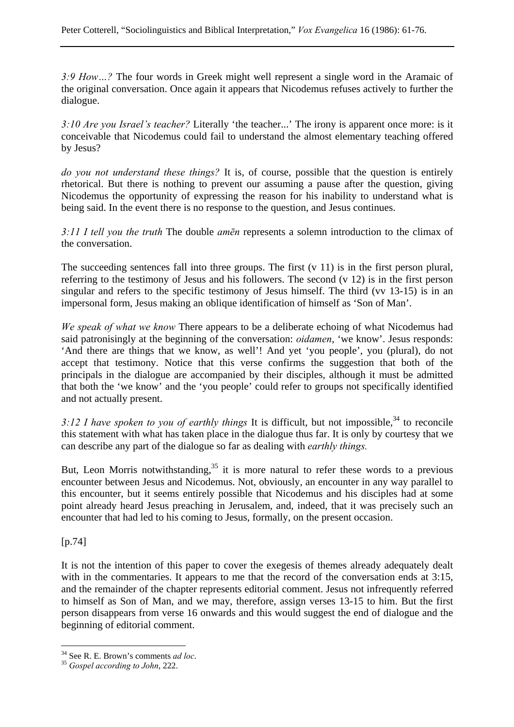*3:9 How…?* The four words in Greek might well represent a single word in the Aramaic of the original conversation. Once again it appears that Nicodemus refuses actively to further the dialogue.

*3:10 Are you Israel's teacher?* Literally 'the teacher...' The irony is apparent once more: is it conceivable that Nicodemus could fail to understand the almost elementary teaching offered by Jesus?

*do you not understand these things?* It is, of course, possible that the question is entirely rhetorical. But there is nothing to prevent our assuming a pause after the question, giving Nicodemus the opportunity of expressing the reason for his inability to understand what is being said. In the event there is no response to the question, and Jesus continues.

*3:11 I tell you the truth* The double *amēn* represents a solemn introduction to the climax of the conversation.

The succeeding sentences fall into three groups. The first  $(v 11)$  is in the first person plural, referring to the testimony of Jesus and his followers. The second (v 12) is in the first person singular and refers to the specific testimony of Jesus himself. The third (vv 13-15) is in an impersonal form, Jesus making an oblique identification of himself as 'Son of Man'.

*We speak of what we know* There appears to be a deliberate echoing of what Nicodemus had said patronisingly at the beginning of the conversation: *oidamen*, 'we know'. Jesus responds: 'And there are things that we know, as well'! And yet 'you people', you (plural), do not accept that testimony. Notice that this verse confirms the suggestion that both of the principals in the dialogue are accompanied by their disciples, although it must be admitted that both the 'we know' and the 'you people' could refer to groups not specifically identified and not actually present.

3:12 I have spoken to you of earthly things It is difficult, but not impossible,<sup>34</sup> to reconcile this statement with what has taken place in the dialogue thus far. It is only by courtesy that we can describe any part of the dialogue so far as dealing with *earthly things.*

But, Leon Morris notwithstanding,  $35$  it is more natural to refer these words to a previous encounter between Jesus and Nicodemus. Not, obviously, an encounter in any way parallel to this encounter, but it seems entirely possible that Nicodemus and his disciples had at some point already heard Jesus preaching in Jerusalem, and, indeed, that it was precisely such an encounter that had led to his coming to Jesus, formally, on the present occasion.

[p.74]

 $\overline{a}$ 

It is not the intention of this paper to cover the exegesis of themes already adequately dealt with in the commentaries. It appears to me that the record of the conversation ends at 3:15, and the remainder of the chapter represents editorial comment. Jesus not infrequently referred to himself as Son of Man, and we may, therefore, assign verses 13-15 to him. But the first person disappears from verse 16 onwards and this would suggest the end of dialogue and the beginning of editorial comment.

<sup>34</sup> See R. E. Brown's comments *ad loc*. 35 *Gospel according to John*, 222.